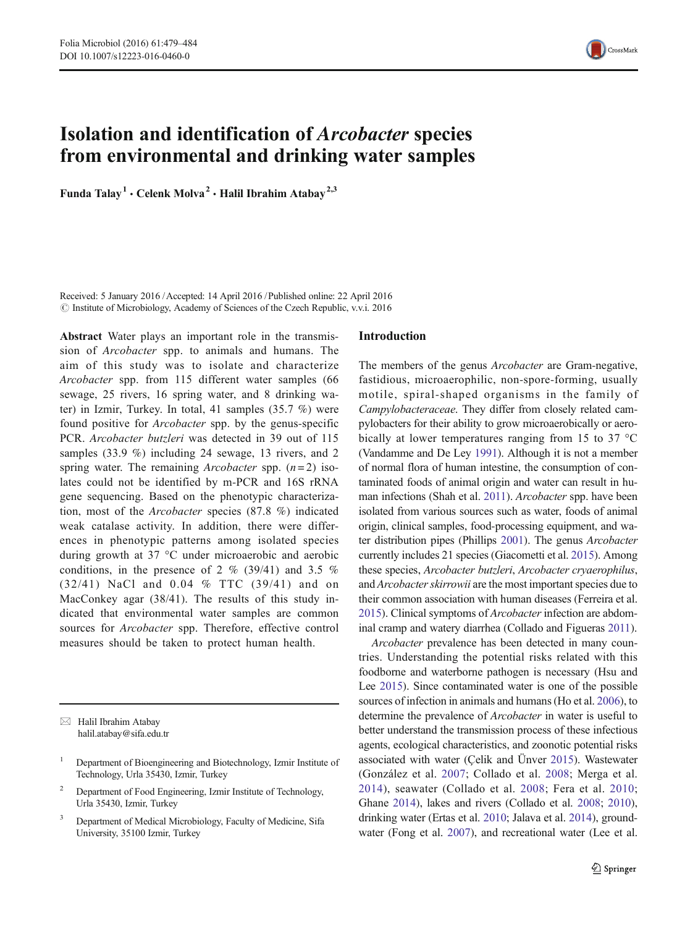

# Isolation and identification of Arcobacter species from environmental and drinking water samples

Funda Talay<sup>1</sup> • Celenk Molva<sup>2</sup> • Halil Ibrahim Atabay<sup>2,3</sup>

Received: 5 January 2016 /Accepted: 14 April 2016 /Published online: 22 April 2016 © Institute of Microbiology, Academy of Sciences of the Czech Republic, v.v.i. 2016

Abstract Water plays an important role in the transmission of Arcobacter spp. to animals and humans. The aim of this study was to isolate and characterize Arcobacter spp. from 115 different water samples (66 sewage, 25 rivers, 16 spring water, and 8 drinking water) in Izmir, Turkey. In total, 41 samples (35.7 %) were found positive for Arcobacter spp. by the genus-specific PCR. Arcobacter butzleri was detected in 39 out of 115 samples (33.9 %) including 24 sewage, 13 rivers, and 2 spring water. The remaining Arcobacter spp.  $(n=2)$  isolates could not be identified by m-PCR and 16S rRNA gene sequencing. Based on the phenotypic characterization, most of the Arcobacter species (87.8 %) indicated weak catalase activity. In addition, there were differences in phenotypic patterns among isolated species during growth at 37 °C under microaerobic and aerobic conditions, in the presence of 2 % (39/41) and 3.5 % (32/41) NaCl and 0.04 % TTC (39/41) and on MacConkey agar (38/41). The results of this study indicated that environmental water samples are common sources for Arcobacter spp. Therefore, effective control measures should be taken to protect human health.

 $\boxtimes$  Halil Ibrahim Atabay halil.atabay@sifa.edu.tr

<sup>3</sup> Department of Medical Microbiology, Faculty of Medicine, Sifa University, 35100 Izmir, Turkey

### Introduction

The members of the genus Arcobacter are Gram-negative, fastidious, microaerophilic, non-spore-forming, usually motile, spiral-shaped organisms in the family of Campylobacteraceae. They differ from closely related campylobacters for their ability to grow microaerobically or aerobically at lower temperatures ranging from 15 to 37 °C (Vandamme and De Ley [1991\)](#page-5-0). Although it is not a member of normal flora of human intestine, the consumption of contaminated foods of animal origin and water can result in human infections (Shah et al. [2011](#page-5-0)). Arcobacter spp. have been isolated from various sources such as water, foods of animal origin, clinical samples, food-processing equipment, and water distribution pipes (Phillips [2001](#page-5-0)). The genus Arcobacter currently includes 21 species (Giacometti et al. [2015](#page-4-0)). Among these species, Arcobacter butzleri, Arcobacter cryaerophilus, and Arcobacter skirrowii are the most important species due to their common association with human diseases (Ferreira et al. [2015\)](#page-4-0). Clinical symptoms of Arcobacter infection are abdominal cramp and watery diarrhea (Collado and Figueras [2011](#page-4-0)).

Arcobacter prevalence has been detected in many countries. Understanding the potential risks related with this foodborne and waterborne pathogen is necessary (Hsu and Lee [2015\)](#page-4-0). Since contaminated water is one of the possible sources of infection in animals and humans (Ho et al. [2006](#page-4-0)), to determine the prevalence of Arcobacter in water is useful to better understand the transmission process of these infectious agents, ecological characteristics, and zoonotic potential risks associated with water (Çelik and Ünver [2015\)](#page-4-0). Wastewater (González et al. [2007](#page-4-0); Collado et al. [2008](#page-4-0); Merga et al. [2014](#page-4-0)), seawater (Collado et al. [2008](#page-4-0); Fera et al. [2010;](#page-4-0) Ghane [2014](#page-4-0)), lakes and rivers (Collado et al. [2008;](#page-4-0) [2010\)](#page-4-0), drinking water (Ertas et al. [2010](#page-4-0); Jalava et al. [2014](#page-4-0)), groundwater (Fong et al. [2007\)](#page-4-0), and recreational water (Lee et al.

<sup>&</sup>lt;sup>1</sup> Department of Bioengineering and Biotechnology, Izmir Institute of Technology, Urla 35430, Izmir, Turkey

<sup>2</sup> Department of Food Engineering, Izmir Institute of Technology, Urla 35430, Izmir, Turkey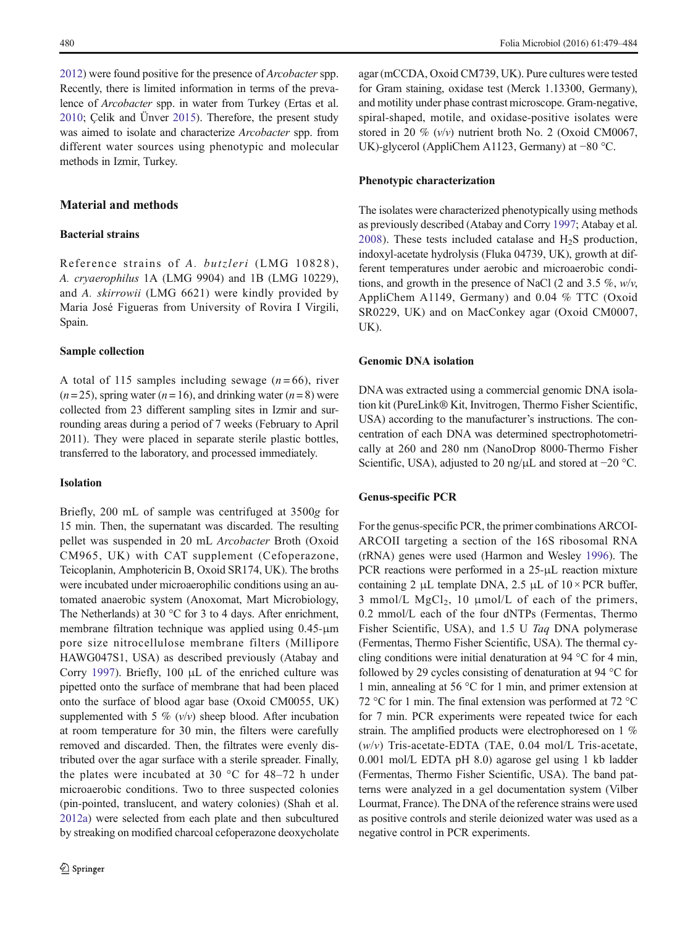[2012\)](#page-4-0) were found positive for the presence of Arcobacter spp. Recently, there is limited information in terms of the prevalence of Arcobacter spp. in water from Turkey (Ertas et al. [2010;](#page-4-0) Çelik and Ünver [2015](#page-4-0)). Therefore, the present study was aimed to isolate and characterize Arcobacter spp. from different water sources using phenotypic and molecular methods in Izmir, Turkey.

# Material and methods

## Bacterial strains

Reference strains of A. butzleri (LMG 10828), A. cryaerophilus 1A (LMG 9904) and 1B (LMG 10229), and A. skirrowii (LMG 6621) were kindly provided by Maria José Figueras from University of Rovira I Virgili, Spain.

#### Sample collection

A total of 115 samples including sewage  $(n=66)$ , river  $(n=25)$ , spring water  $(n=16)$ , and drinking water  $(n=8)$  were collected from 23 different sampling sites in Izmir and surrounding areas during a period of 7 weeks (February to April 2011). They were placed in separate sterile plastic bottles, transferred to the laboratory, and processed immediately.

## Isolation

Briefly, 200 mL of sample was centrifuged at 3500g for 15 min. Then, the supernatant was discarded. The resulting pellet was suspended in 20 mL Arcobacter Broth (Oxoid CM965, UK) with CAT supplement (Cefoperazone, Teicoplanin, Amphotericin B, Oxoid SR174, UK). The broths were incubated under microaerophilic conditions using an automated anaerobic system (Anoxomat, Mart Microbiology, The Netherlands) at 30 °C for 3 to 4 days. After enrichment, membrane filtration technique was applied using 0.45-μm pore size nitrocellulose membrane filters (Millipore HAWG047S1, USA) as described previously (Atabay and Corry [1997](#page-4-0)). Briefly, 100 μL of the enriched culture was pipetted onto the surface of membrane that had been placed onto the surface of blood agar base (Oxoid CM0055, UK) supplemented with 5 %  $(v/v)$  sheep blood. After incubation at room temperature for 30 min, the filters were carefully removed and discarded. Then, the filtrates were evenly distributed over the agar surface with a sterile spreader. Finally, the plates were incubated at 30  $\degree$ C for 48–72 h under microaerobic conditions. Two to three suspected colonies (pin-pointed, translucent, and watery colonies) (Shah et al. [2012a\)](#page-5-0) were selected from each plate and then subcultured by streaking on modified charcoal cefoperazone deoxycholate

agar (mCCDA, Oxoid CM739, UK). Pure cultures were tested for Gram staining, oxidase test (Merck 1.13300, Germany), and motility under phase contrast microscope. Gram-negative, spiral-shaped, motile, and oxidase-positive isolates were stored in 20 %  $(v/v)$  nutrient broth No. 2 (Oxoid CM0067, UK)-glycerol (AppliChem A1123, Germany) at −80 °C.

#### Phenotypic characterization

The isolates were characterized phenotypically using methods as previously described (Atabay and Corry [1997](#page-4-0); Atabay et al. [2008](#page-4-0)). These tests included catalase and  $H<sub>2</sub>S$  production, indoxyl-acetate hydrolysis (Fluka 04739, UK), growth at different temperatures under aerobic and microaerobic conditions, and growth in the presence of NaCl (2 and 3.5 %,  $w/v$ , AppliChem A1149, Germany) and 0.04 % TTC (Oxoid SR0229, UK) and on MacConkey agar (Oxoid CM0007, UK).

#### Genomic DNA isolation

DNA was extracted using a commercial genomic DNA isolation kit (PureLink® Kit, Invitrogen, Thermo Fisher Scientific, USA) according to the manufacturer's instructions. The concentration of each DNA was determined spectrophotometrically at 260 and 280 nm (NanoDrop 8000-Thermo Fisher Scientific, USA), adjusted to 20 ng/μL and stored at −20 °C.

## Genus-specific PCR

For the genus-specific PCR, the primer combinations ARCOI-ARCOII targeting a section of the 16S ribosomal RNA (rRNA) genes were used (Harmon and Wesley [1996\)](#page-4-0). The PCR reactions were performed in a 25-μL reaction mixture containing 2 μL template DNA, 2.5 μL of  $10 \times PCR$  buffer, 3 mmol/L  $MgCl<sub>2</sub>$ , 10 µmol/L of each of the primers, 0.2 mmol/L each of the four dNTPs (Fermentas, Thermo Fisher Scientific, USA), and 1.5 U Taq DNA polymerase (Fermentas, Thermo Fisher Scientific, USA). The thermal cycling conditions were initial denaturation at 94 °C for 4 min, followed by 29 cycles consisting of denaturation at 94 °C for 1 min, annealing at 56 °C for 1 min, and primer extension at 72 °C for 1 min. The final extension was performed at 72 °C for 7 min. PCR experiments were repeated twice for each strain. The amplified products were electrophoresed on 1 %  $(w/v)$  Tris-acetate-EDTA (TAE, 0.04 mol/L Tris-acetate, 0.001 mol/L EDTA pH 8.0) agarose gel using 1 kb ladder (Fermentas, Thermo Fisher Scientific, USA). The band patterns were analyzed in a gel documentation system (Vilber Lourmat, France). The DNA of the reference strains were used as positive controls and sterile deionized water was used as a negative control in PCR experiments.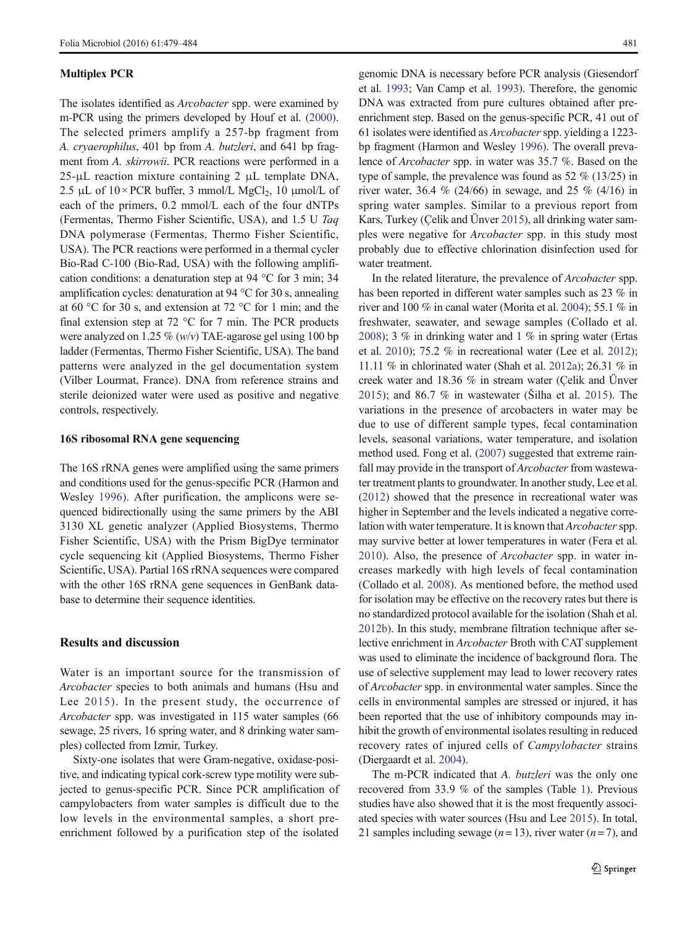#### Multiplex PCR

The isolates identified as *Arcobacter* spp. were examined by m-PCR using the primers developed by Houf et al. [\(2000\)](#page-4-0). The selected primers amplify a 257-bp fragment from A. cryaerophilus, 401 bp from A. butzleri, and 641 bp fragment from A. skirrowii. PCR reactions were performed in a  $25-\mu L$  reaction mixture containing 2  $\mu L$  template DNA, 2.5 μL of  $10 \times PCR$  buffer, 3 mmol/L MgCl<sub>2</sub>, 10 μmol/L of each of the primers, 0.2 mmol/L each of the four dNTPs (Fermentas, Thermo Fisher Scientific, USA), and 1.5 U Taq DNA polymerase (Fermentas, Thermo Fisher Scientific, USA). The PCR reactions were performed in a thermal cycler Bio-Rad C-100 (Bio-Rad, USA) with the following amplification conditions: a denaturation step at 94 °C for 3 min; 34 amplification cycles: denaturation at 94 °C for 30 s, annealing at 60 °C for 30 s, and extension at 72 °C for 1 min; and the final extension step at 72  $\degree$ C for 7 min. The PCR products were analyzed on 1.25 % (w/v) TAE-agarose gel using 100 bp ladder (Fermentas, Thermo Fisher Scientific, USA). The band patterns were analyzed in the gel documentation system (Vilber Lourmat, France). DNA from reference strains and sterile deionized water were used as positive and negative controls, respectively.

## 16S ribosomal RNA gene sequencing

The 16S rRNA genes were amplified using the same primers and conditions used for the genus-specific PCR (Harmon and Wesley [1996\)](#page-4-0). After purification, the amplicons were sequenced bidirectionally using the same primers by the ABI 3130 XL genetic analyzer (Applied Biosystems, Thermo Fisher Scientific, USA) with the Prism BigDye terminator cycle sequencing kit (Applied Biosystems, Thermo Fisher Scientific, USA). Partial 16S rRNA sequences were compared with the other 16S rRNA gene sequences in GenBank database to determine their sequence identities.

## Results and discussion

Water is an important source for the transmission of Arcobacter species to both animals and humans (Hsu and Lee [2015\)](#page-4-0). In the present study, the occurrence of Arcobacter spp. was investigated in 115 water samples (66 sewage, 25 rivers, 16 spring water, and 8 drinking water samples) collected from Izmir, Turkey.

Sixty-one isolates that were Gram-negative, oxidase-positive, and indicating typical cork-screw type motility were subjected to genus-specific PCR. Since PCR amplification of campylobacters from water samples is difficult due to the low levels in the environmental samples, a short preenrichment followed by a purification step of the isolated

genomic DNA is necessary before PCR analysis (Giesendorf et al. [1993;](#page-4-0) Van Camp et al. [1993\)](#page-5-0). Therefore, the genomic DNA was extracted from pure cultures obtained after preenrichment step. Based on the genus-specific PCR, 41 out of 61 isolates were identified as *Arcobacter* spp. yielding a 1223bp fragment (Harmon and Wesley [1996](#page-4-0)). The overall prevalence of Arcobacter spp. in water was 35.7 %. Based on the type of sample, the prevalence was found as 52 % (13/25) in river water, 36.4 % (24/66) in sewage, and 25 % (4/16) in spring water samples. Similar to a previous report from Kars, Turkey (Çelik and Ünver [2015](#page-4-0)), all drinking water samples were negative for Arcobacter spp. in this study most probably due to effective chlorination disinfection used for water treatment.

In the related literature, the prevalence of Arcobacter spp. has been reported in different water samples such as 23 % in river and 100 % in canal water (Morita et al. [2004\)](#page-4-0); 55.1 % in freshwater, seawater, and sewage samples (Collado et al. [2008\)](#page-4-0); 3 % in drinking water and 1 % in spring water (Ertas et al. [2010\)](#page-4-0); 75.2 % in recreational water (Lee et al. [2012](#page-4-0)); 11.11 % in chlorinated water (Shah et al. [2012a](#page-5-0)); 26.31 % in creek water and 18.36 % in stream water (Çelik and Ünver [2015](#page-4-0)); and 86.7 % in wastewater (Šilha et al. [2015](#page-5-0)). The variations in the presence of arcobacters in water may be due to use of different sample types, fecal contamination levels, seasonal variations, water temperature, and isolation method used. Fong et al. ([2007](#page-4-0)) suggested that extreme rainfall may provide in the transport of *Arcobacter* from wastewater treatment plants to groundwater. In another study, Lee et al. [\(2012](#page-4-0)) showed that the presence in recreational water was higher in September and the levels indicated a negative correlation with water temperature. It is known that *Arcobacter* spp. may survive better at lower temperatures in water (Fera et al. [2010](#page-4-0)). Also, the presence of Arcobacter spp. in water increases markedly with high levels of fecal contamination (Collado et al. [2008](#page-4-0)). As mentioned before, the method used for isolation may be effective on the recovery rates but there is no standardized protocol available for the isolation (Shah et al. [2012b\)](#page-5-0). In this study, membrane filtration technique after selective enrichment in Arcobacter Broth with CAT supplement was used to eliminate the incidence of background flora. The use of selective supplement may lead to lower recovery rates of Arcobacter spp. in environmental water samples. Since the cells in environmental samples are stressed or injured, it has been reported that the use of inhibitory compounds may inhibit the growth of environmental isolates resulting in reduced recovery rates of injured cells of Campylobacter strains (Diergaardt et al. [2004](#page-4-0)).

The m-PCR indicated that A. butzleri was the only one recovered from 33.9 % of the samples (Table [1](#page-3-0)). Previous studies have also showed that it is the most frequently associated species with water sources (Hsu and Lee [2015\)](#page-4-0). In total, 21 samples including sewage  $(n=13)$ , river water  $(n=7)$ , and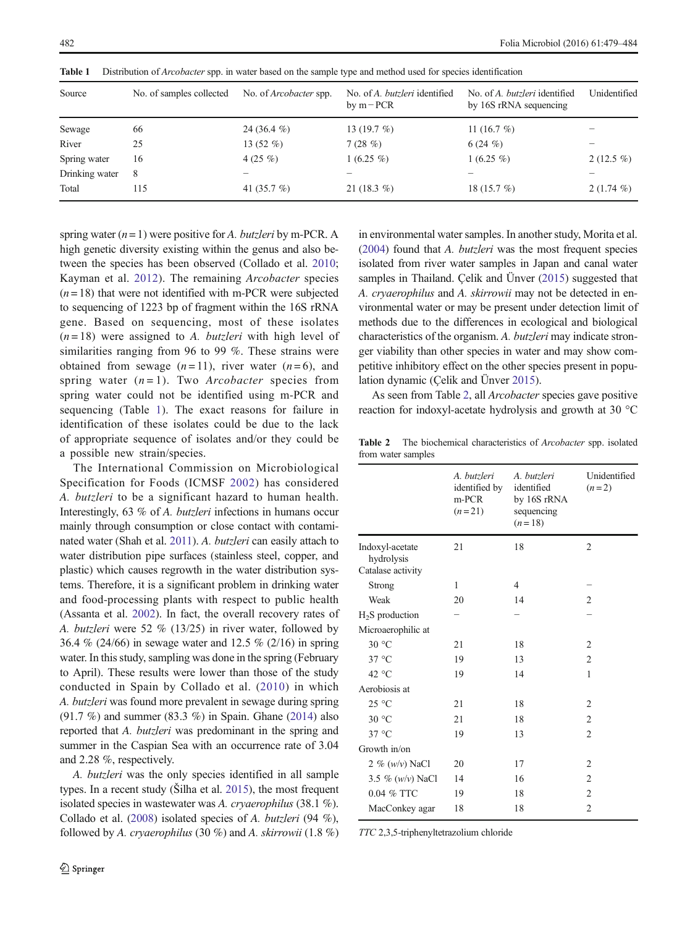| Source         | No. of samples collected | No. of <i>Arcobacter</i> spp. | No. of A. butzleri identified<br>by $m$ – PCR | No. of A. butzleri identified<br>by 16S rRNA sequencing | Unidentified |
|----------------|--------------------------|-------------------------------|-----------------------------------------------|---------------------------------------------------------|--------------|
| Sewage         | 66                       | 24 (36.4 $%$ )                | 13 $(19.7 \%)$                                | 11 $(16.7 \%)$                                          |              |
| River          | 25                       | 13 $(52 \%)$                  | 7(28%)                                        | 6(24%)                                                  |              |
| Spring water   | 16                       | 4 $(25\%)$                    | $1(6.25\%)$                                   | $1(6.25\%)$                                             | $2(12.5\%)$  |
| Drinking water | 8                        |                               |                                               |                                                         |              |
| Total          | 115                      | 41 $(35.7\%)$                 | 21 $(18.3\%)$                                 | 18 $(15.7%)$                                            | $2(1.74\%)$  |

<span id="page-3-0"></span>Table 1 Distribution of *Arcobacter* spp. in water based on the sample type and method used for species identification

spring water  $(n = 1)$  were positive for A. butzleri by m-PCR. A high genetic diversity existing within the genus and also between the species has been observed (Collado et al. [2010](#page-4-0); Kayman et al. [2012](#page-4-0)). The remaining Arcobacter species  $(n = 18)$  that were not identified with m-PCR were subjected to sequencing of 1223 bp of fragment within the 16S rRNA gene. Based on sequencing, most of these isolates  $(n=18)$  were assigned to A. butzleri with high level of similarities ranging from 96 to 99 %. These strains were obtained from sewage  $(n=11)$ , river water  $(n=6)$ , and spring water  $(n=1)$ . Two *Arcobacter* species from spring water could not be identified using m-PCR and sequencing (Table 1). The exact reasons for failure in identification of these isolates could be due to the lack of appropriate sequence of isolates and/or they could be a possible new strain/species.

The International Commission on Microbiological Specification for Foods (ICMSF [2002\)](#page-4-0) has considered A. butzleri to be a significant hazard to human health. Interestingly, 63 % of A. butzleri infections in humans occur mainly through consumption or close contact with contaminated water (Shah et al. [2011](#page-5-0)). A. butzleri can easily attach to water distribution pipe surfaces (stainless steel, copper, and plastic) which causes regrowth in the water distribution systems. Therefore, it is a significant problem in drinking water and food-processing plants with respect to public health (Assanta et al. [2002\)](#page-4-0). In fact, the overall recovery rates of A. butzleri were 52 % (13/25) in river water, followed by 36.4 % (24/66) in sewage water and 12.5 % (2/16) in spring water. In this study, sampling was done in the spring (February to April). These results were lower than those of the study conducted in Spain by Collado et al. ([2010](#page-4-0)) in which A. butzleri was found more prevalent in sewage during spring (91.7 %) and summer (83.3 %) in Spain. Ghane ([2014](#page-4-0)) also reported that A. butzleri was predominant in the spring and summer in the Caspian Sea with an occurrence rate of 3.04 and 2.28 %, respectively.

A. butzleri was the only species identified in all sample types. In a recent study (Šilha et al. [2015](#page-5-0)), the most frequent isolated species in wastewater was A. cryaerophilus (38.1 %). Collado et al. ([2008](#page-4-0)) isolated species of A. butzleri (94 %), followed by A. cryaerophilus (30  $%$ ) and A. skirrowii (1.8  $%$ ) in environmental water samples. In another study, Morita et al. [\(2004\)](#page-4-0) found that A. butzleri was the most frequent species isolated from river water samples in Japan and canal water samples in Thailand. Çelik and Ünver ([2015](#page-4-0)) suggested that A. cryaerophilus and A. skirrowii may not be detected in environmental water or may be present under detection limit of methods due to the differences in ecological and biological characteristics of the organism. A. butzleri may indicate stronger viability than other species in water and may show competitive inhibitory effect on the other species present in population dynamic (Çelik and Ünver [2015\)](#page-4-0).

As seen from Table 2, all Arcobacter species gave positive reaction for indoxyl-acetate hydrolysis and growth at 30 °C

Table 2 The biochemical characteristics of Arcobacter spp. isolated from water samples

|                                                    | A. butzleri<br>identified by<br>m-PCR<br>$(n=21)$ | A. butzleri<br>identified<br>by 16S rRNA<br>sequencing<br>$(n=18)$ | Unidentified<br>$(n=2)$ |
|----------------------------------------------------|---------------------------------------------------|--------------------------------------------------------------------|-------------------------|
| Indoxyl-acetate<br>hydrolysis<br>Catalase activity | 21                                                | 18                                                                 | $\overline{2}$          |
| Strong                                             | 1                                                 | 4                                                                  |                         |
| Weak                                               | 20                                                | 14                                                                 | $\overline{c}$          |
| $H2S$ production                                   |                                                   |                                                                    |                         |
| Microaerophilic at                                 |                                                   |                                                                    |                         |
| 30 °C                                              | 21                                                | 18                                                                 | $\overline{2}$          |
| $37^{\circ}$ C                                     | 19                                                | 13                                                                 | $\overline{2}$          |
| 42 °C                                              | 19                                                | 14                                                                 | 1                       |
| Aerobiosis at                                      |                                                   |                                                                    |                         |
| $25^{\circ}$ C                                     | 21                                                | 18                                                                 | 2                       |
| 30 °C                                              | 21                                                | 18                                                                 | $\overline{2}$          |
| $37^{\circ}$ C                                     | 19                                                | 13                                                                 | $\mathfrak{D}$          |
| Growth in/on                                       |                                                   |                                                                    |                         |
| 2 % $(w/v)$ NaCl                                   | 20                                                | 17                                                                 | $\overline{c}$          |
| 3.5 % $(w/v)$ NaCl                                 | 14                                                | 16                                                                 | $\overline{c}$          |
| 0.04 % TTC                                         | 19                                                | 18                                                                 | $\overline{2}$          |
| MacConkey agar                                     | 18                                                | 18                                                                 | $\overline{2}$          |

TTC 2,3,5-triphenyltetrazolium chloride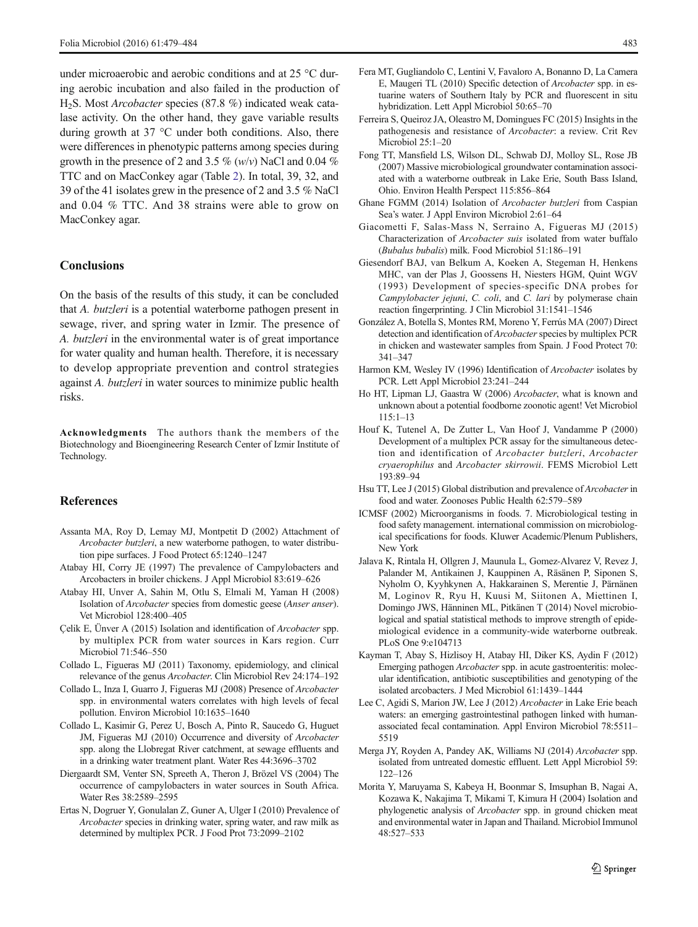<span id="page-4-0"></span>under microaerobic and aerobic conditions and at 25 °C during aerobic incubation and also failed in the production of H2S. Most Arcobacter species (87.8 %) indicated weak catalase activity. On the other hand, they gave variable results during growth at 37 °C under both conditions. Also, there were differences in phenotypic patterns among species during growth in the presence of 2 and 3.5 %  $(w/v)$  NaCl and 0.04 % TTC and on MacConkey agar (Table [2\)](#page-3-0). In total, 39, 32, and 39 of the 41 isolates grew in the presence of 2 and 3.5 % NaCl and 0.04 % TTC. And 38 strains were able to grow on MacConkey agar.

## **Conclusions**

On the basis of the results of this study, it can be concluded that A. butzleri is a potential waterborne pathogen present in sewage, river, and spring water in Izmir. The presence of A. butzleri in the environmental water is of great importance for water quality and human health. Therefore, it is necessary to develop appropriate prevention and control strategies against A. butzleri in water sources to minimize public health risks.

Acknowledgments The authors thank the members of the Biotechnology and Bioengineering Research Center of Izmir Institute of Technology.

## **References**

- Assanta MA, Roy D, Lemay MJ, Montpetit D (2002) Attachment of Arcobacter butzleri, a new waterborne pathogen, to water distribution pipe surfaces. J Food Protect 65:1240–1247
- Atabay HI, Corry JE (1997) The prevalence of Campylobacters and Arcobacters in broiler chickens. J Appl Microbiol 83:619–626
- Atabay HI, Unver A, Sahin M, Otlu S, Elmali M, Yaman H (2008) Isolation of Arcobacter species from domestic geese (Anser anser). Vet Microbiol 128:400–405
- Çelik E, Ünver A (2015) Isolation and identification of Arcobacter spp. by multiplex PCR from water sources in Kars region. Curr Microbiol 71:546–550
- Collado L, Figueras MJ (2011) Taxonomy, epidemiology, and clinical relevance of the genus Arcobacter. Clin Microbiol Rev 24:174–<sup>192</sup>
- Collado L, Inza I, Guarro J, Figueras MJ (2008) Presence of Arcobacter spp. in environmental waters correlates with high levels of fecal pollution. Environ Microbiol 10:1635–1640
- Collado L, Kasimir G, Perez U, Bosch A, Pinto R, Saucedo G, Huguet JM, Figueras MJ (2010) Occurrence and diversity of Arcobacter spp. along the Llobregat River catchment, at sewage effluents and in a drinking water treatment plant. Water Res 44:3696–3702
- Diergaardt SM, Venter SN, Spreeth A, Theron J, Brözel VS (2004) The occurrence of campylobacters in water sources in South Africa. Water Res 38:2589–2595
- Ertas N, Dogruer Y, Gonulalan Z, Guner A, Ulger I (2010) Prevalence of Arcobacter species in drinking water, spring water, and raw milk as determined by multiplex PCR. J Food Prot 73:2099–2102
- Fera MT, Gugliandolo C, Lentini V, Favaloro A, Bonanno D, La Camera E, Maugeri TL (2010) Specific detection of Arcobacter spp. in estuarine waters of Southern Italy by PCR and fluorescent in situ hybridization. Lett Appl Microbiol 50:65–70
- Ferreira S, Queiroz JA, Oleastro M, Domingues FC (2015) Insights in the pathogenesis and resistance of Arcobacter: a review. Crit Rev Microbiol 25:1–20
- Fong TT, Mansfield LS, Wilson DL, Schwab DJ, Molloy SL, Rose JB (2007) Massive microbiological groundwater contamination associated with a waterborne outbreak in Lake Erie, South Bass Island, Ohio. Environ Health Perspect 115:856–864
- Ghane FGMM (2014) Isolation of Arcobacter butzleri from Caspian Sea's water. J Appl Environ Microbiol 2:61–64
- Giacometti F, Salas-Mass N, Serraino A, Figueras MJ (2015) Characterization of Arcobacter suis isolated from water buffalo (Bubalus bubalis) milk. Food Microbiol 51:186–<sup>191</sup>
- Giesendorf BAJ, van Belkum A, Koeken A, Stegeman H, Henkens MHC, van der Plas J, Goossens H, Niesters HGM, Quint WGV (1993) Development of species-specific DNA probes for Campylobacter jejuni, C. coli, and C. lari by polymerase chain reaction fingerprinting. J Clin Microbiol 31:1541–1546
- González A, Botella S, Montes RM, Moreno Y, Ferrús MA (2007) Direct detection and identification of Arcobacter species by multiplex PCR in chicken and wastewater samples from Spain. J Food Protect 70: 341–347
- Harmon KM, Wesley IV (1996) Identification of Arcobacter isolates by PCR. Lett Appl Microbiol 23:241–244
- Ho HT, Lipman LJ, Gaastra W (2006) Arcobacter, what is known and unknown about a potential foodborne zoonotic agent! Vet Microbiol 115:1–13
- Houf K, Tutenel A, De Zutter L, Van Hoof J, Vandamme P (2000) Development of a multiplex PCR assay for the simultaneous detection and identification of Arcobacter butzleri, Arcobacter cryaerophilus and Arcobacter skirrowii. FEMS Microbiol Lett 193:89–94
- Hsu TT, Lee J (2015) Global distribution and prevalence of Arcobacter in food and water. Zoonoses Public Health 62:579–589
- ICMSF (2002) Microorganisms in foods. 7. Microbiological testing in food safety management. international commission on microbiological specifications for foods. Kluwer Academic/Plenum Publishers, New York
- Jalava K, Rintala H, Ollgren J, Maunula L, Gomez-Alvarez V, Revez J, Palander M, Antikainen J, Kauppinen A, Räsänen P, Siponen S, Nyholm O, Kyyhkynen A, Hakkarainen S, Merentie J, Pärnänen M, Loginov R, Ryu H, Kuusi M, Siitonen A, Miettinen I, Domingo JWS, Hänninen ML, Pitkänen T (2014) Novel microbiological and spatial statistical methods to improve strength of epidemiological evidence in a community-wide waterborne outbreak. PLoS One 9:e104713
- Kayman T, Abay S, Hizlisoy H, Atabay HI, Diker KS, Aydin F (2012) Emerging pathogen Arcobacter spp. in acute gastroenteritis: molecular identification, antibiotic susceptibilities and genotyping of the isolated arcobacters. J Med Microbiol 61:1439–1444
- Lee C, Agidi S, Marion JW, Lee J (2012) Arcobacter in Lake Erie beach waters: an emerging gastrointestinal pathogen linked with humanassociated fecal contamination. Appl Environ Microbiol 78:5511– 5519
- Merga JY, Royden A, Pandey AK, Williams NJ (2014) Arcobacter spp. isolated from untreated domestic effluent. Lett Appl Microbiol 59: 122–126
- Morita Y, Maruyama S, Kabeya H, Boonmar S, Imsuphan B, Nagai A, Kozawa K, Nakajima T, Mikami T, Kimura H (2004) Isolation and phylogenetic analysis of Arcobacter spp. in ground chicken meat and environmental water in Japan and Thailand. Microbiol Immunol 48:527–533